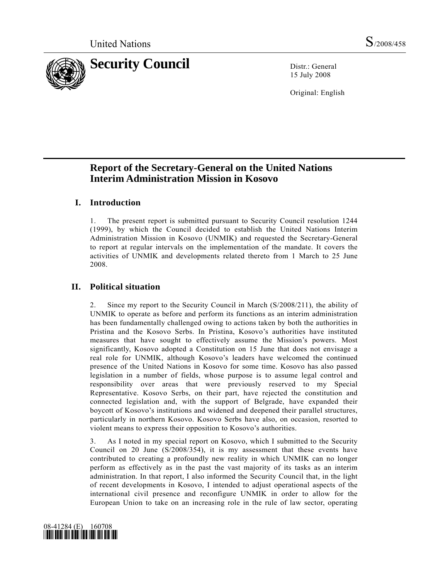

15 July 2008

Original: English

# **Report of the Secretary-General on the United Nations Interim Administration Mission in Kosovo**

## **I. Introduction**

1. The present report is submitted pursuant to Security Council resolution 1244 (1999), by which the Council decided to establish the United Nations Interim Administration Mission in Kosovo (UNMIK) and requested the Secretary-General to report at regular intervals on the implementation of the mandate. It covers the activities of UNMIK and developments related thereto from 1 March to 25 June 2008.

## **II. Political situation**

2. Since my report to the Security Council in March (S/2008/211), the ability of UNMIK to operate as before and perform its functions as an interim administration has been fundamentally challenged owing to actions taken by both the authorities in Pristina and the Kosovo Serbs. In Pristina, Kosovo's authorities have instituted measures that have sought to effectively assume the Mission's powers. Most significantly, Kosovo adopted a Constitution on 15 June that does not envisage a real role for UNMIK, although Kosovo's leaders have welcomed the continued presence of the United Nations in Kosovo for some time. Kosovo has also passed legislation in a number of fields, whose purpose is to assume legal control and responsibility over areas that were previously reserved to my Special Representative. Kosovo Serbs, on their part, have rejected the constitution and connected legislation and, with the support of Belgrade, have expanded their boycott of Kosovo's institutions and widened and deepened their parallel structures, particularly in northern Kosovo. Kosovo Serbs have also, on occasion, resorted to violent means to express their opposition to Kosovo's authorities.

3. As I noted in my special report on Kosovo, which I submitted to the Security Council on 20 June (S/2008/354), it is my assessment that these events have contributed to creating a profoundly new reality in which UNMIK can no longer perform as effectively as in the past the vast majority of its tasks as an interim administration. In that report, I also informed the Security Council that, in the light of recent developments in Kosovo, I intended to adjust operational aspects of the international civil presence and reconfigure UNMIK in order to allow for the European Union to take on an increasing role in the rule of law sector, operating

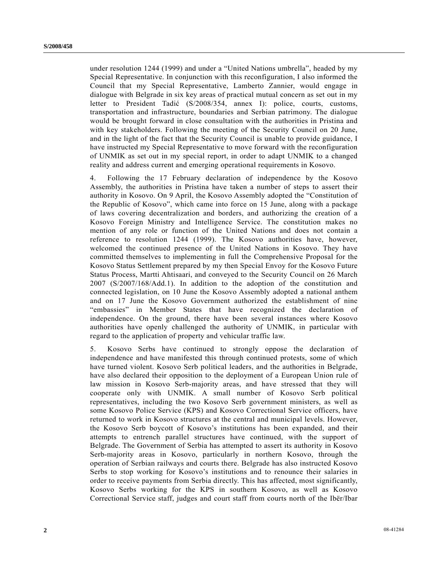under resolution 1244 (1999) and under a "United Nations umbrella", headed by my Special Representative. In conjunction with this reconfiguration, I also informed the Council that my Special Representative, Lamberto Zannier, would engage in dialogue with Belgrade in six key areas of practical mutual concern as set out in my letter to President Tadić (S/2008/354, annex I): police, courts, customs, transportation and infrastructure, boundaries and Serbian patrimony. The dialogue would be brought forward in close consultation with the authorities in Pristina and with key stakeholders. Following the meeting of the Security Council on 20 June, and in the light of the fact that the Security Council is unable to provide guidance, I have instructed my Special Representative to move forward with the reconfiguration of UNMIK as set out in my special report, in order to adapt UNMIK to a changed reality and address current and emerging operational requirements in Kosovo.

4. Following the 17 February declaration of independence by the Kosovo Assembly, the authorities in Pristina have taken a number of steps to assert their authority in Kosovo. On 9 April, the Kosovo Assembly adopted the "Constitution of the Republic of Kosovo", which came into force on 15 June, along with a package of laws covering decentralization and borders, and authorizing the creation of a Kosovo Foreign Ministry and Intelligence Service. The constitution makes no mention of any role or function of the United Nations and does not contain a reference to resolution 1244 (1999). The Kosovo authorities have, however, welcomed the continued presence of the United Nations in Kosovo. They have committed themselves to implementing in full the Comprehensive Proposal for the Kosovo Status Settlement prepared by my then Special Envoy for the Kosovo Future Status Process, Martti Ahtisaari, and conveyed to the Security Council on 26 March 2007 (S/2007/168/Add.1). In addition to the adoption of the constitution and connected legislation, on 10 June the Kosovo Assembly adopted a national anthem and on 17 June the Kosovo Government authorized the establishment of nine "embassies" in Member States that have recognized the declaration of independence. On the ground, there have been several instances where Kosovo authorities have openly challenged the authority of UNMIK, in particular with regard to the application of property and vehicular traffic law.

5. Kosovo Serbs have continued to strongly oppose the declaration of independence and have manifested this through continued protests, some of which have turned violent. Kosovo Serb political leaders, and the authorities in Belgrade, have also declared their opposition to the deployment of a European Union rule of law mission in Kosovo Serb-majority areas, and have stressed that they will cooperate only with UNMIK. A small number of Kosovo Serb political representatives, including the two Kosovo Serb government ministers, as well as some Kosovo Police Service (KPS) and Kosovo Correctional Service officers, have returned to work in Kosovo structures at the central and municipal levels. However, the Kosovo Serb boycott of Kosovo's institutions has been expanded, and their attempts to entrench parallel structures have continued, with the support of Belgrade. The Government of Serbia has attempted to assert its authority in Kosovo Serb-majority areas in Kosovo, particularly in northern Kosovo, through the operation of Serbian railways and courts there. Belgrade has also instructed Kosovo Serbs to stop working for Kosovo's institutions and to renounce their salaries in order to receive payments from Serbia directly. This has affected, most significantly, Kosovo Serbs working for the KPS in southern Kosovo, as well as Kosovo Correctional Service staff, judges and court staff from courts north of the Ibër/Ibar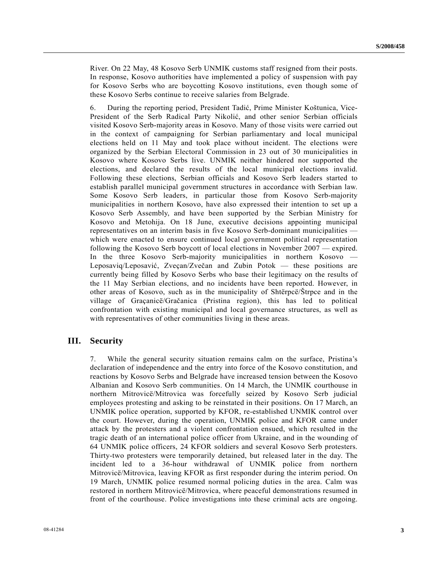River. On 22 May, 48 Kosovo Serb UNMIK customs staff resigned from their posts. In response, Kosovo authorities have implemented a policy of suspension with pay for Kosovo Serbs who are boycotting Kosovo institutions, even though some of these Kosovo Serbs continue to receive salaries from Belgrade.

6. During the reporting period, President Tadić, Prime Minister Koštunica, Vice-President of the Serb Radical Party Nikolić, and other senior Serbian officials visited Kosovo Serb-majority areas in Kosovo. Many of those visits were carried out in the context of campaigning for Serbian parliamentary and local municipal elections held on 11 May and took place without incident. The elections were organized by the Serbian Electoral Commission in 23 out of 30 municipalities in Kosovo where Kosovo Serbs live. UNMIK neither hindered nor supported the elections, and declared the results of the local municipal elections invalid. Following these elections, Serbian officials and Kosovo Serb leaders started to establish parallel municipal government structures in accordance with Serbian law. Some Kosovo Serb leaders, in particular those from Kosovo Serb-majority municipalities in northern Kosovo, have also expressed their intention to set up a Kosovo Serb Assembly, and have been supported by the Serbian Ministry for Kosovo and Metohija. On 18 June, executive decisions appointing municipal representatives on an interim basis in five Kosovo Serb-dominant municipalities which were enacted to ensure continued local government political representation following the Kosovo Serb boycott of local elections in November 2007 — expired. In the three Kosovo Serb-majority municipalities in northern Kosovo — Leposaviq/Leposavić, Zveçan/Zvečan and Zubin Potok — these positions are currently being filled by Kosovo Serbs who base their legitimacy on the results of the 11 May Serbian elections, and no incidents have been reported. However, in other areas of Kosovo, such as in the municipality of Shtërpcë/Štrpce and in the village of Graçanicë/Gračanica (Pristina region), this has led to political confrontation with existing municipal and local governance structures, as well as with representatives of other communities living in these areas.

## **III. Security**

7. While the general security situation remains calm on the surface, Pristina's declaration of independence and the entry into force of the Kosovo constitution, and reactions by Kosovo Serbs and Belgrade have increased tension between the Kosovo Albanian and Kosovo Serb communities. On 14 March, the UNMIK courthouse in northern Mitrovicë/Mitrovica was forcefully seized by Kosovo Serb judicial employees protesting and asking to be reinstated in their positions. On 17 March, an UNMIK police operation, supported by KFOR, re-established UNMIK control over the court. However, during the operation, UNMIK police and KFOR came under attack by the protesters and a violent confrontation ensued, which resulted in the tragic death of an international police officer from Ukraine, and in the wounding of 64 UNMIK police officers, 24 KFOR soldiers and several Kosovo Serb protesters. Thirty-two protesters were temporarily detained, but released later in the day. The incident led to a 36-hour withdrawal of UNMIK police from northern Mitrovicë/Mitrovica, leaving KFOR as first responder during the interim period. On 19 March, UNMIK police resumed normal policing duties in the area. Calm was restored in northern Mitrovicë/Mitrovica, where peaceful demonstrations resumed in front of the courthouse. Police investigations into these criminal acts are ongoing.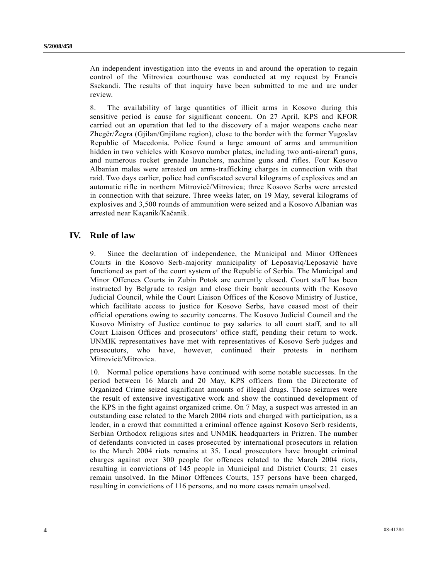An independent investigation into the events in and around the operation to regain control of the Mitrovica courthouse was conducted at my request by Francis Ssekandi. The results of that inquiry have been submitted to me and are under review.

8. The availability of large quantities of illicit arms in Kosovo during this sensitive period is cause for significant concern. On 27 April, KPS and KFOR carried out an operation that led to the discovery of a major weapons cache near Zhegër/Žegra (Gjilan/Gnjilane region), close to the border with the former Yugoslav Republic of Macedonia. Police found a large amount of arms and ammunition hidden in two vehicles with Kosovo number plates, including two anti-aircraft guns, and numerous rocket grenade launchers, machine guns and rifles. Four Kosovo Albanian males were arrested on arms-trafficking charges in connection with that raid. Two days earlier, police had confiscated several kilograms of explosives and an automatic rifle in northern Mitrovicë/Mitrovica; three Kosovo Serbs were arrested in connection with that seizure. Three weeks later, on 19 May, several kilograms of explosives and 3,500 rounds of ammunition were seized and a Kosovo Albanian was arrested near Kaçanik/Kačanik.

## **IV. Rule of law**

9. Since the declaration of independence, the Municipal and Minor Offences Courts in the Kosovo Serb-majority municipality of Leposaviq/Leposavić have functioned as part of the court system of the Republic of Serbia. The Municipal and Minor Offences Courts in Zubin Potok are currently closed. Court staff has been instructed by Belgrade to resign and close their bank accounts with the Kosovo Judicial Council, while the Court Liaison Offices of the Kosovo Ministry of Justice, which facilitate access to justice for Kosovo Serbs, have ceased most of their official operations owing to security concerns. The Kosovo Judicial Council and the Kosovo Ministry of Justice continue to pay salaries to all court staff, and to all Court Liaison Offices and prosecutors' office staff, pending their return to work. UNMIK representatives have met with representatives of Kosovo Serb judges and prosecutors, who have, however, continued their protests in northern Mitrovicë/Mitrovica.

10. Normal police operations have continued with some notable successes. In the period between 16 March and 20 May, KPS officers from the Directorate of Organized Crime seized significant amounts of illegal drugs. Those seizures were the result of extensive investigative work and show the continued development of the KPS in the fight against organized crime. On 7 May, a suspect was arrested in an outstanding case related to the March 2004 riots and charged with participation, as a leader, in a crowd that committed a criminal offence against Kosovo Serb residents, Serbian Orthodox religious sites and UNMIK headquarters in Prizren. The number of defendants convicted in cases prosecuted by international prosecutors in relation to the March 2004 riots remains at 35. Local prosecutors have brought criminal charges against over 300 people for offences related to the March 2004 riots, resulting in convictions of 145 people in Municipal and District Courts; 21 cases remain unsolved. In the Minor Offences Courts, 157 persons have been charged, resulting in convictions of 116 persons, and no more cases remain unsolved.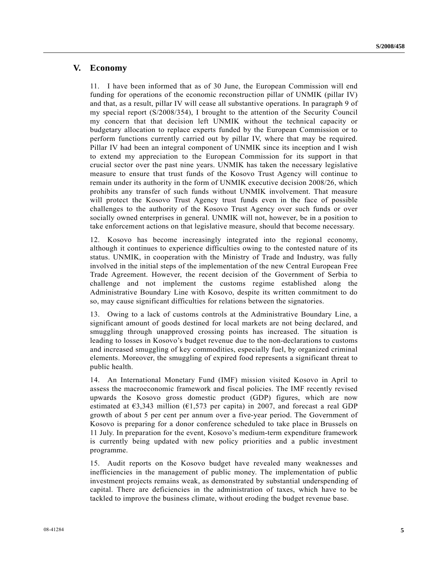## **V. Economy**

11. I have been informed that as of 30 June, the European Commission will end funding for operations of the economic reconstruction pillar of UNMIK (pillar IV) and that, as a result, pillar IV will cease all substantive operations. In paragraph 9 of my special report (S/2008/354), I brought to the attention of the Security Council my concern that that decision left UNMIK without the technical capacity or budgetary allocation to replace experts funded by the European Commission or to perform functions currently carried out by pillar IV, where that may be required. Pillar IV had been an integral component of UNMIK since its inception and I wish to extend my appreciation to the European Commission for its support in that crucial sector over the past nine years. UNMIK has taken the necessary legislative measure to ensure that trust funds of the Kosovo Trust Agency will continue to remain under its authority in the form of UNMIK executive decision 2008/26, which prohibits any transfer of such funds without UNMIK involvement. That measure will protect the Kosovo Trust Agency trust funds even in the face of possible challenges to the authority of the Kosovo Trust Agency over such funds or over socially owned enterprises in general. UNMIK will not, however, be in a position to take enforcement actions on that legislative measure, should that become necessary.

12. Kosovo has become increasingly integrated into the regional economy, although it continues to experience difficulties owing to the contested nature of its status. UNMIK, in cooperation with the Ministry of Trade and Industry, was fully involved in the initial steps of the implementation of the new Central European Free Trade Agreement. However, the recent decision of the Government of Serbia to challenge and not implement the customs regime established along the Administrative Boundary Line with Kosovo, despite its written commitment to do so, may cause significant difficulties for relations between the signatories.

13. Owing to a lack of customs controls at the Administrative Boundary Line, a significant amount of goods destined for local markets are not being declared, and smuggling through unapproved crossing points has increased. The situation is leading to losses in Kosovo's budget revenue due to the non-declarations to customs and increased smuggling of key commodities, especially fuel, by organized criminal elements. Moreover, the smuggling of expired food represents a significant threat to public health.

14. An International Monetary Fund (IMF) mission visited Kosovo in April to assess the macroeconomic framework and fiscal policies. The IMF recently revised upwards the Kosovo gross domestic product (GDP) figures, which are now estimated at  $63,343$  million  $(61,573$  per capita) in 2007, and forecast a real GDP growth of about 5 per cent per annum over a five-year period. The Government of Kosovo is preparing for a donor conference scheduled to take place in Brussels on 11 July. In preparation for the event, Kosovo's medium-term expenditure framework is currently being updated with new policy priorities and a public investment programme.

15. Audit reports on the Kosovo budget have revealed many weaknesses and inefficiencies in the management of public money. The implementation of public investment projects remains weak, as demonstrated by substantial underspending of capital. There are deficiencies in the administration of taxes, which have to be tackled to improve the business climate, without eroding the budget revenue base.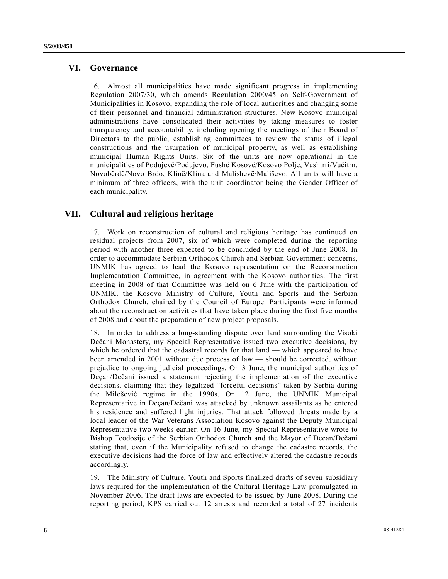## **VI. Governance**

16. Almost all municipalities have made significant progress in implementing Regulation 2007/30, which amends Regulation 2000/45 on Self-Government of Municipalities in Kosovo, expanding the role of local authorities and changing some of their personnel and financial administration structures. New Kosovo municipal administrations have consolidated their activities by taking measures to foster transparency and accountability, including opening the meetings of their Board of Directors to the public, establishing committees to review the status of illegal constructions and the usurpation of municipal property, as well as establishing municipal Human Rights Units. Six of the units are now operational in the municipalities of Podujevë/Podujevo, Fushë Kosovë/Kosovo Polje, Vushtrri/Vučitrn, Novobërdë/Novo Brdo, Klinë/Klina and Malishevë/Mališevo. All units will have a minimum of three officers, with the unit coordinator being the Gender Officer of each municipality.

## **VII. Cultural and religious heritage**

17. Work on reconstruction of cultural and religious heritage has continued on residual projects from 2007, six of which were completed during the reporting period with another three expected to be concluded by the end of June 2008. In order to accommodate Serbian Orthodox Church and Serbian Government concerns, UNMIK has agreed to lead the Kosovo representation on the Reconstruction Implementation Committee, in agreement with the Kosovo authorities. The first meeting in 2008 of that Committee was held on 6 June with the participation of UNMIK, the Kosovo Ministry of Culture, Youth and Sports and the Serbian Orthodox Church, chaired by the Council of Europe. Participants were informed about the reconstruction activities that have taken place during the first five months of 2008 and about the preparation of new project proposals.

18. In order to address a long-standing dispute over land surrounding the Visoki Dečani Monastery, my Special Representative issued two executive decisions, by which he ordered that the cadastral records for that land — which appeared to have been amended in 2001 without due process of law — should be corrected, without prejudice to ongoing judicial proceedings. On 3 June, the municipal authorities of Deçan/Dečani issued a statement rejecting the implementation of the executive decisions, claiming that they legalized "forceful decisions" taken by Serbia during the Milošević regime in the 1990s. On 12 June, the UNMIK Municipal Representative in Deçan/Dečani was attacked by unknown assailants as he entered his residence and suffered light injuries. That attack followed threats made by a local leader of the War Veterans Association Kosovo against the Deputy Municipal Representative two weeks earlier. On 16 June, my Special Representative wrote to Bishop Teodosije of the Serbian Orthodox Church and the Mayor of Deçan/Dečani stating that, even if the Municipality refused to change the cadastre records, the executive decisions had the force of law and effectively altered the cadastre records accordingly.

19. The Ministry of Culture, Youth and Sports finalized drafts of seven subsidiary laws required for the implementation of the Cultural Heritage Law promulgated in November 2006. The draft laws are expected to be issued by June 2008. During the reporting period, KPS carried out 12 arrests and recorded a total of 27 incidents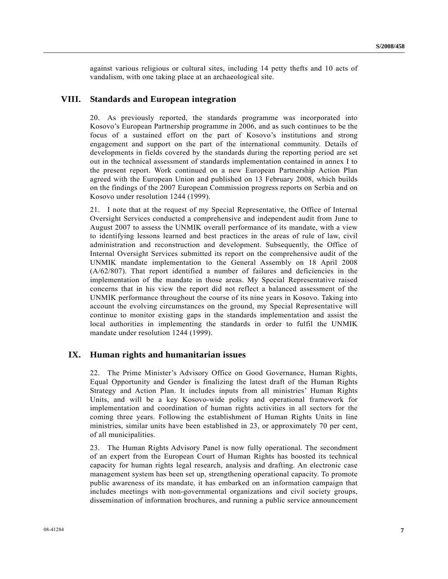against various religious or cultural sites, including 14 petty thefts and 10 acts of vandalism, with one taking place at an archaeological site.

## **VIII. Standards and European integration**

20. As previously reported, the standards programme was incorporated into Kosovo's European Partnership programme in 2006, and as such continues to be the focus of a sustained effort on the part of Kosovo's institutions and strong engagement and support on the part of the international community. Details of developments in fields covered by the standards during the reporting period are set out in the technical assessment of standards implementation contained in annex I to the present report. Work continued on a new European Partnership Action Plan agreed with the European Union and published on 13 February 2008, which builds on the findings of the 2007 European Commission progress reports on Serbia and on Kosovo under resolution 1244 (1999).

21. I note that at the request of my Special Representative, the Office of Internal Oversight Services conducted a comprehensive and independent audit from June to August 2007 to assess the UNMIK overall performance of its mandate, with a view to identifying lessons learned and best practices in the areas of rule of law, civil administration and reconstruction and development. Subsequently, the Office of Internal Oversight Services submitted its report on the comprehensive audit of the UNMIK mandate implementation to the General Assembly on 18 April 2008 (A/62/807). That report identified a number of failures and deficiencies in the implementation of the mandate in those areas. My Special Representative raised concerns that in his view the report did not reflect a balanced assessment of the UNMIK performance throughout the course of its nine years in Kosovo. Taking into account the evolving circumstances on the ground, my Special Representative will continue to monitor existing gaps in the standards implementation and assist the local authorities in implementing the standards in order to fulfil the UNMIK mandate under resolution 1244 (1999).

### **IX. Human rights and humanitarian issues**

22. The Prime Minister's Advisory Office on Good Governance, Human Rights, Equal Opportunity and Gender is finalizing the latest draft of the Human Rights Strategy and Action Plan. It includes inputs from all ministries' Human Rights Units, and will be a key Kosovo-wide policy and operational framework for implementation and coordination of human rights activities in all sectors for the coming three years. Following the establishment of Human Rights Units in line ministries, similar units have been established in 23, or approximately 70 per cent, of all municipalities.

23. The Human Rights Advisory Panel is now fully operational. The secondment of an expert from the European Court of Human Rights has boosted its technical capacity for human rights legal research, analysis and drafting. An electronic case management system has been set up, strengthening operational capacity. To promote public awareness of its mandate, it has embarked on an information campaign that includes meetings with non-governmental organizations and civil society groups, dissemination of information brochures, and running a public service announcement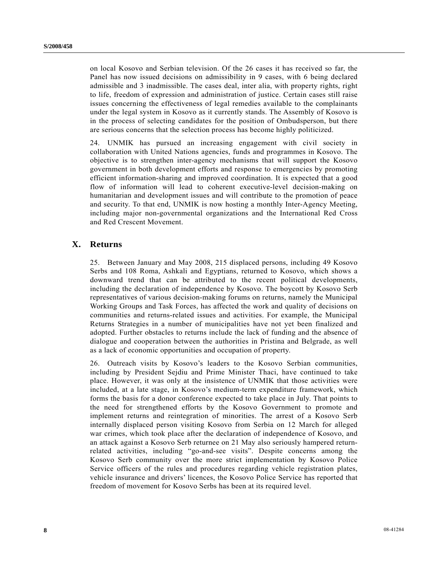on local Kosovo and Serbian television. Of the 26 cases it has received so far, the Panel has now issued decisions on admissibility in 9 cases, with 6 being declared admissible and 3 inadmissible. The cases deal, inter alia, with property rights, right to life, freedom of expression and administration of justice. Certain cases still raise issues concerning the effectiveness of legal remedies available to the complainants under the legal system in Kosovo as it currently stands. The Assembly of Kosovo is in the process of selecting candidates for the position of Ombudsperson, but there are serious concerns that the selection process has become highly politicized.

24. UNMIK has pursued an increasing engagement with civil society in collaboration with United Nations agencies, funds and programmes in Kosovo. The objective is to strengthen inter-agency mechanisms that will support the Kosovo government in both development efforts and response to emergencies by promoting efficient information-sharing and improved coordination. It is expected that a good flow of information will lead to coherent executive-level decision-making on humanitarian and development issues and will contribute to the promotion of peace and security. To that end, UNMIK is now hosting a monthly Inter-Agency Meeting, including major non-governmental organizations and the International Red Cross and Red Crescent Movement.

## **X. Returns**

25. Between January and May 2008, 215 displaced persons, including 49 Kosovo Serbs and 108 Roma, Ashkali and Egyptians, returned to Kosovo, which shows a downward trend that can be attributed to the recent political developments, including the declaration of independence by Kosovo. The boycott by Kosovo Serb representatives of various decision-making forums on returns, namely the Municipal Working Groups and Task Forces, has affected the work and quality of decisions on communities and returns-related issues and activities. For example, the Municipal Returns Strategies in a number of municipalities have not yet been finalized and adopted. Further obstacles to returns include the lack of funding and the absence of dialogue and cooperation between the authorities in Pristina and Belgrade, as well as a lack of economic opportunities and occupation of property.

26. Outreach visits by Kosovo's leaders to the Kosovo Serbian communities, including by President Sejdiu and Prime Minister Thaci, have continued to take place. However, it was only at the insistence of UNMIK that those activities were included, at a late stage, in Kosovo's medium-term expenditure framework, which forms the basis for a donor conference expected to take place in July. That points to the need for strengthened efforts by the Kosovo Government to promote and implement returns and reintegration of minorities. The arrest of a Kosovo Serb internally displaced person visiting Kosovo from Serbia on 12 March for alleged war crimes, which took place after the declaration of independence of Kosovo, and an attack against a Kosovo Serb returnee on 21 May also seriously hampered returnrelated activities, including "go-and-see visits". Despite concerns among the Kosovo Serb community over the more strict implementation by Kosovo Police Service officers of the rules and procedures regarding vehicle registration plates, vehicle insurance and drivers' licences, the Kosovo Police Service has reported that freedom of movement for Kosovo Serbs has been at its required level.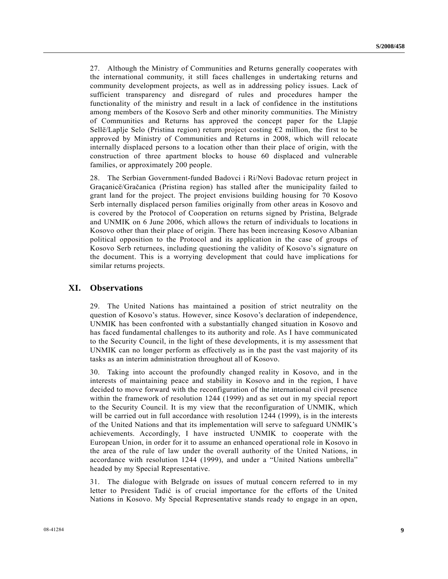27. Although the Ministry of Communities and Returns generally cooperates with the international community, it still faces challenges in undertaking returns and community development projects, as well as in addressing policy issues. Lack of sufficient transparency and disregard of rules and procedures hamper the functionality of the ministry and result in a lack of confidence in the institutions among members of the Kosovo Serb and other minority communities. The Ministry of Communities and Returns has approved the concept paper for the Llapje Sellë/Laplje Selo (Pristina region) return project costing  $\epsilon$ 2 million, the first to be approved by Ministry of Communities and Returns in 2008, which will relocate internally displaced persons to a location other than their place of origin, with the construction of three apartment blocks to house 60 displaced and vulnerable families, or approximately 200 people.

28. The Serbian Government-funded Badovci i Ri/Novi Badovac return project in Graçanicë/Gračanica (Pristina region) has stalled after the municipality failed to grant land for the project. The project envisions building housing for 70 Kosovo Serb internally displaced person families originally from other areas in Kosovo and is covered by the Protocol of Cooperation on returns signed by Pristina, Belgrade and UNMIK on 6 June 2006, which allows the return of individuals to locations in Kosovo other than their place of origin. There has been increasing Kosovo Albanian political opposition to the Protocol and its application in the case of groups of Kosovo Serb returnees, including questioning the validity of Kosovo's signature on the document. This is a worrying development that could have implications for similar returns projects.

## **XI. Observations**

29. The United Nations has maintained a position of strict neutrality on the question of Kosovo's status. However, since Kosovo's declaration of independence, UNMIK has been confronted with a substantially changed situation in Kosovo and has faced fundamental challenges to its authority and role. As I have communicated to the Security Council, in the light of these developments, it is my assessment that UNMIK can no longer perform as effectively as in the past the vast majority of its tasks as an interim administration throughout all of Kosovo.

30. Taking into account the profoundly changed reality in Kosovo, and in the interests of maintaining peace and stability in Kosovo and in the region, I have decided to move forward with the reconfiguration of the international civil presence within the framework of resolution 1244 (1999) and as set out in my special report to the Security Council. It is my view that the reconfiguration of UNMIK, which will be carried out in full accordance with resolution 1244 (1999), is in the interests of the United Nations and that its implementation will serve to safeguard UNMIK's achievements. Accordingly, I have instructed UNMIK to cooperate with the European Union, in order for it to assume an enhanced operational role in Kosovo in the area of the rule of law under the overall authority of the United Nations, in accordance with resolution 1244 (1999), and under a "United Nations umbrella" headed by my Special Representative.

31. The dialogue with Belgrade on issues of mutual concern referred to in my letter to President Tadić is of crucial importance for the efforts of the United Nations in Kosovo. My Special Representative stands ready to engage in an open,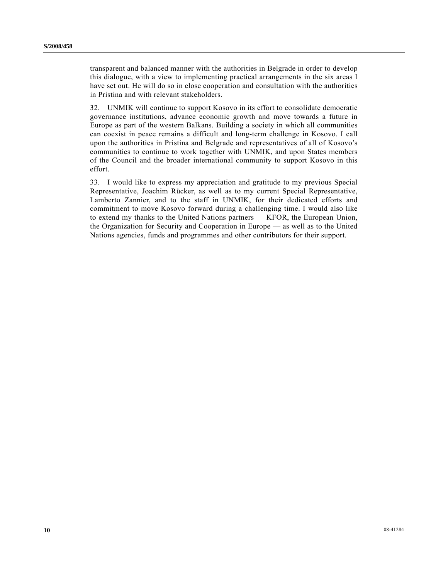transparent and balanced manner with the authorities in Belgrade in order to develop this dialogue, with a view to implementing practical arrangements in the six areas I have set out. He will do so in close cooperation and consultation with the authorities in Pristina and with relevant stakeholders.

32. UNMIK will continue to support Kosovo in its effort to consolidate democratic governance institutions, advance economic growth and move towards a future in Europe as part of the western Balkans. Building a society in which all communities can coexist in peace remains a difficult and long-term challenge in Kosovo. I call upon the authorities in Pristina and Belgrade and representatives of all of Kosovo's communities to continue to work together with UNMIK, and upon States members of the Council and the broader international community to support Kosovo in this effort.

33. I would like to express my appreciation and gratitude to my previous Special Representative, Joachim Rücker, as well as to my current Special Representative, Lamberto Zannier, and to the staff in UNMIK, for their dedicated efforts and commitment to move Kosovo forward during a challenging time. I would also like to extend my thanks to the United Nations partners — KFOR, the European Union, the Organization for Security and Cooperation in Europe — as well as to the United Nations agencies, funds and programmes and other contributors for their support.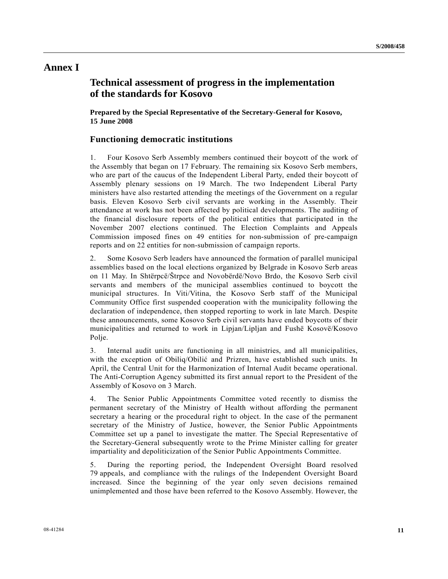## **Annex I**

# **Technical assessment of progress in the implementation of the standards for Kosovo**

 **Prepared by the Special Representative of the Secretary-General for Kosovo, 15 June 2008** 

## **Functioning democratic institutions**

1. Four Kosovo Serb Assembly members continued their boycott of the work of the Assembly that began on 17 February. The remaining six Kosovo Serb members, who are part of the caucus of the Independent Liberal Party, ended their boycott of Assembly plenary sessions on 19 March. The two Independent Liberal Party ministers have also restarted attending the meetings of the Government on a regular basis. Eleven Kosovo Serb civil servants are working in the Assembly. Their attendance at work has not been affected by political developments. The auditing of the financial disclosure reports of the political entities that participated in the November 2007 elections continued. The Election Complaints and Appeals Commission imposed fines on 49 entities for non-submission of pre-campaign reports and on 22 entities for non-submission of campaign reports.

2. Some Kosovo Serb leaders have announced the formation of parallel municipal assemblies based on the local elections organized by Belgrade in Kosovo Serb areas on 11 May. In Shtërpcë/Štrpce and Novobërdë/Novo Brdo, the Kosovo Serb civil servants and members of the municipal assemblies continued to boycott the municipal structures. In Viti/Vitina, the Kosovo Serb staff of the Municipal Community Office first suspended cooperation with the municipality following the declaration of independence, then stopped reporting to work in late March. Despite these announcements, some Kosovo Serb civil servants have ended boycotts of their municipalities and returned to work in Lipjan/Lipljan and Fushë Kosovë/Kosovo Polje.

3. Internal audit units are functioning in all ministries, and all municipalities, with the exception of Obiliq/Obilić and Prizren, have established such units. In April, the Central Unit for the Harmonization of Internal Audit became operational. The Anti-Corruption Agency submitted its first annual report to the President of the Assembly of Kosovo on 3 March.

4. The Senior Public Appointments Committee voted recently to dismiss the permanent secretary of the Ministry of Health without affording the permanent secretary a hearing or the procedural right to object. In the case of the permanent secretary of the Ministry of Justice, however, the Senior Public Appointments Committee set up a panel to investigate the matter. The Special Representative of the Secretary-General subsequently wrote to the Prime Minister calling for greater impartiality and depoliticization of the Senior Public Appointments Committee.

5. During the reporting period, the Independent Oversight Board resolved 79 appeals, and compliance with the rulings of the Independent Oversight Board increased. Since the beginning of the year only seven decisions remained unimplemented and those have been referred to the Kosovo Assembly. However, the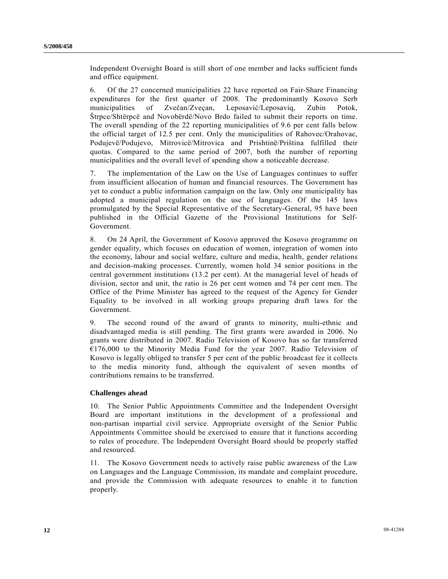Independent Oversight Board is still short of one member and lacks sufficient funds and office equipment.

6. Of the 27 concerned municipalities 22 have reported on Fair-Share Financing expenditures for the first quarter of 2008. The predominantly Kosovo Serb municipalities of Zvečan/Zveçan, Leposavić/Leposaviq, Zubin Potok, Štrpce/Shtërpcë and Novobërdë/Novo Brdo failed to submit their reports on time. The overall spending of the 22 reporting municipalities of 9.6 per cent falls below the official target of 12.5 per cent. Only the municipalities of Rahovec/Orahovac, Podujevë/Podujevo, Mitrovicë/Mitrovica and Prishtinë/Priština fulfilled their quotas. Compared to the same period of 2007, both the number of reporting municipalities and the overall level of spending show a noticeable decrease.

7. The implementation of the Law on the Use of Languages continues to suffer from insufficient allocation of human and financial resources. The Government has yet to conduct a public information campaign on the law. Only one municipality has adopted a municipal regulation on the use of languages. Of the 145 laws promulgated by the Special Representative of the Secretary-General, 95 have been published in the Official Gazette of the Provisional Institutions for Self-Government.

8. On 24 April, the Government of Kosovo approved the Kosovo programme on gender equality, which focuses on education of women, integration of women into the economy, labour and social welfare, culture and media, health, gender relations and decision-making processes. Currently, women hold 34 senior positions in the central government institutions (13.2 per cent). At the managerial level of heads of division, sector and unit, the ratio is 26 per cent women and 74 per cent men. The Office of the Prime Minister has agreed to the request of the Agency for Gender Equality to be involved in all working groups preparing draft laws for the Government.

9. The second round of the award of grants to minority, multi-ethnic and disadvantaged media is still pending. The first grants were awarded in 2006. No grants were distributed in 2007. Radio Television of Kosovo has so far transferred  $€176,000$  to the Minority Media Fund for the year 2007. Radio Television of Kosovo is legally obliged to transfer 5 per cent of the public broadcast fee it collects to the media minority fund, although the equivalent of seven months of contributions remains to be transferred.

## **Challenges ahead**

10. The Senior Public Appointments Committee and the Independent Oversight Board are important institutions in the development of a professional and non-partisan impartial civil service. Appropriate oversight of the Senior Public Appointments Committee should be exercised to ensure that it functions according to rules of procedure. The Independent Oversight Board should be properly staffed and resourced.

11. The Kosovo Government needs to actively raise public awareness of the Law on Languages and the Language Commission, its mandate and complaint procedure, and provide the Commission with adequate resources to enable it to function properly.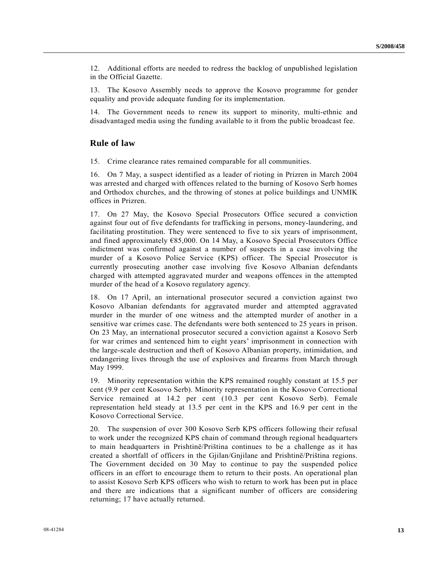12. Additional efforts are needed to redress the backlog of unpublished legislation in the Official Gazette.

13. The Kosovo Assembly needs to approve the Kosovo programme for gender equality and provide adequate funding for its implementation.

14. The Government needs to renew its support to minority, multi-ethnic and disadvantaged media using the funding available to it from the public broadcast fee.

## **Rule of law**

15. Crime clearance rates remained comparable for all communities.

16. On 7 May, a suspect identified as a leader of rioting in Prizren in March 2004 was arrested and charged with offences related to the burning of Kosovo Serb homes and Orthodox churches, and the throwing of stones at police buildings and UNMIK offices in Prizren.

17. On 27 May, the Kosovo Special Prosecutors Office secured a conviction against four out of five defendants for trafficking in persons, money-laundering, and facilitating prostitution. They were sentenced to five to six years of imprisonment, and fined approximately €85,000. On 14 May, a Kosovo Special Prosecutors Office indictment was confirmed against a number of suspects in a case involving the murder of a Kosovo Police Service (KPS) officer. The Special Prosecutor is currently prosecuting another case involving five Kosovo Albanian defendants charged with attempted aggravated murder and weapons offences in the attempted murder of the head of a Kosovo regulatory agency.

18. On 17 April, an international prosecutor secured a conviction against two Kosovo Albanian defendants for aggravated murder and attempted aggravated murder in the murder of one witness and the attempted murder of another in a sensitive war crimes case. The defendants were both sentenced to 25 years in prison. On 23 May, an international prosecutor secured a conviction against a Kosovo Serb for war crimes and sentenced him to eight years' imprisonment in connection with the large-scale destruction and theft of Kosovo Albanian property, intimidation, and endangering lives through the use of explosives and firearms from March through May 1999.

19. Minority representation within the KPS remained roughly constant at 15.5 per cent (9.9 per cent Kosovo Serb). Minority representation in the Kosovo Correctional Service remained at 14.2 per cent (10.3 per cent Kosovo Serb). Female representation held steady at 13.5 per cent in the KPS and 16.9 per cent in the Kosovo Correctional Service.

20. The suspension of over 300 Kosovo Serb KPS officers following their refusal to work under the recognized KPS chain of command through regional headquarters to main headquarters in Prishtinë/Priština continues to be a challenge as it has created a shortfall of officers in the Gjilan/Gnjilane and Prishtinë/Priština regions. The Government decided on 30 May to continue to pay the suspended police officers in an effort to encourage them to return to their posts. An operational plan to assist Kosovo Serb KPS officers who wish to return to work has been put in place and there are indications that a significant number of officers are considering returning; 17 have actually returned.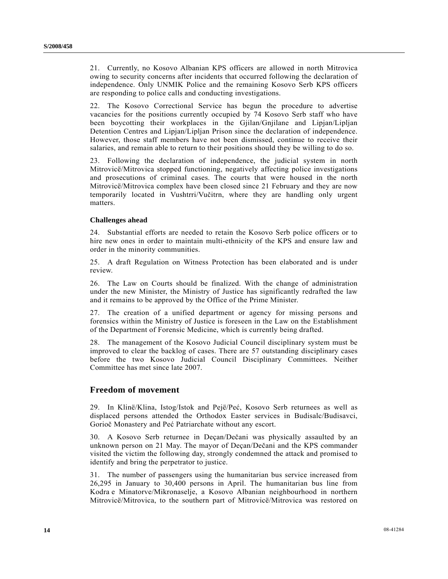21. Currently, no Kosovo Albanian KPS officers are allowed in north Mitrovica owing to security concerns after incidents that occurred following the declaration of independence. Only UNMIK Police and the remaining Kosovo Serb KPS officers are responding to police calls and conducting investigations.

22. The Kosovo Correctional Service has begun the procedure to advertise vacancies for the positions currently occupied by 74 Kosovo Serb staff who have been boycotting their workplaces in the Gjilan/Gnjilane and Lipjan/Lipljan Detention Centres and Lipjan/Lipljan Prison since the declaration of independence. However, those staff members have not been dismissed, continue to receive their salaries, and remain able to return to their positions should they be willing to do so.

23. Following the declaration of independence, the judicial system in north Mitrovicë/Mitrovica stopped functioning, negatively affecting police investigations and prosecutions of criminal cases. The courts that were housed in the north Mitrovicë/Mitrovica complex have been closed since 21 February and they are now temporarily located in Vushtrri/Vučitrn, where they are handling only urgent matters.

#### **Challenges ahead**

24. Substantial efforts are needed to retain the Kosovo Serb police officers or to hire new ones in order to maintain multi-ethnicity of the KPS and ensure law and order in the minority communities.

25. A draft Regulation on Witness Protection has been elaborated and is under review.

26. The Law on Courts should be finalized. With the change of administration under the new Minister, the Ministry of Justice has significantly redrafted the law and it remains to be approved by the Office of the Prime Minister.

27. The creation of a unified department or agency for missing persons and forensics within the Ministry of Justice is foreseen in the Law on the Establishment of the Department of Forensic Medicine, which is currently being drafted.

28. The management of the Kosovo Judicial Council disciplinary system must be improved to clear the backlog of cases. There are 57 outstanding disciplinary cases before the two Kosovo Judicial Council Disciplinary Committees. Neither Committee has met since late 2007.

## **Freedom of movement**

29. In Klinë/Klina, Istog/Istok and Pejë/Peć, Kosovo Serb returnees as well as displaced persons attended the Orthodox Easter services in Budisalc/Budisavci, Gorioč Monastery and Peć Patriarchate without any escort.

30. A Kosovo Serb returnee in Deçan/Dečani was physically assaulted by an unknown person on 21 May. The mayor of Deçan/Dečani and the KPS commander visited the victim the following day, strongly condemned the attack and promised to identify and bring the perpetrator to justice.

31. The number of passengers using the humanitarian bus service increased from 26,295 in January to 30,400 persons in April. The humanitarian bus line from Kodra e Minatorve/Mikronaselje, a Kosovo Albanian neighbourhood in northern Mitrovicë/Mitrovica, to the southern part of Mitrovicë/Mitrovica was restored on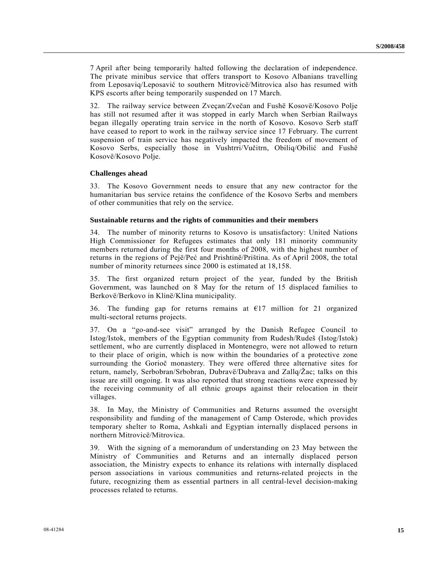7 April after being temporarily halted following the declaration of independence. The private minibus service that offers transport to Kosovo Albanians travelling from Leposaviq/Leposavić to southern Mitrovicë/Mitrovica also has resumed with KPS escorts after being temporarily suspended on 17 March.

32. The railway service between Zveçan/Zvečan and Fushë Kosovë/Kosovo Polje has still not resumed after it was stopped in early March when Serbian Railways began illegally operating train service in the north of Kosovo. Kosovo Serb staff have ceased to report to work in the railway service since 17 February. The current suspension of train service has negatively impacted the freedom of movement of Kosovo Serbs, especially those in Vushtrri/Vučitrn, Obiliq/Obilić and Fushë Kosovë/Kosovo Polje.

#### **Challenges ahead**

33. The Kosovo Government needs to ensure that any new contractor for the humanitarian bus service retains the confidence of the Kosovo Serbs and members of other communities that rely on the service.

#### **Sustainable returns and the rights of communities and their members**

34. The number of minority returns to Kosovo is unsatisfactory: United Nations High Commissioner for Refugees estimates that only 181 minority community members returned during the first four months of 2008, with the highest number of returns in the regions of Pejë/Peć and Prishtinë/Priština. As of April 2008, the total number of minority returnees since 2000 is estimated at 18,158.

35. The first organized return project of the year, funded by the British Government, was launched on 8 May for the return of 15 displaced families to Berkovë/Berkovo in Klinë/Klina municipality.

36. The funding gap for returns remains at  $E17$  million for 21 organized multi-sectoral returns projects.

37. On a "go-and-see visit" arranged by the Danish Refugee Council to Istog/Istok, members of the Egyptian community from Rudesh/Rudeš (Istog/Istok) settlement, who are currently displaced in Montenegro, were not allowed to return to their place of origin, which is now within the boundaries of a protective zone surrounding the Gorioč monastery. They were offered three alternative sites for return, namely, Serbobran/Srbobran, Dubravë/Dubrava and Zallq/Žac; talks on this issue are still ongoing. It was also reported that strong reactions were expressed by the receiving community of all ethnic groups against their relocation in their villages.

38. In May, the Ministry of Communities and Returns assumed the oversight responsibility and funding of the management of Camp Osterode, which provides temporary shelter to Roma, Ashkali and Egyptian internally displaced persons in northern Mitrovicë/Mitrovica.

39. With the signing of a memorandum of understanding on 23 May between the Ministry of Communities and Returns and an internally displaced person association, the Ministry expects to enhance its relations with internally displaced person associations in various communities and returns-related projects in the future, recognizing them as essential partners in all central-level decision-making processes related to returns.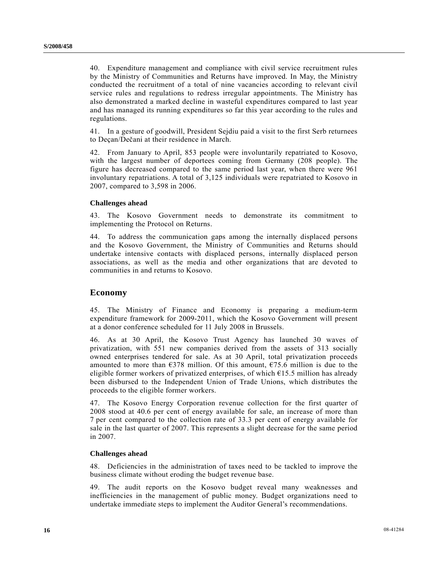40. Expenditure management and compliance with civil service recruitment rules by the Ministry of Communities and Returns have improved. In May, the Ministry conducted the recruitment of a total of nine vacancies according to relevant civil service rules and regulations to redress irregular appointments. The Ministry has also demonstrated a marked decline in wasteful expenditures compared to last year and has managed its running expenditures so far this year according to the rules and regulations.

41. In a gesture of goodwill, President Sejdiu paid a visit to the first Serb returnees to Deçan/Dečani at their residence in March.

42. From January to April, 853 people were involuntarily repatriated to Kosovo, with the largest number of deportees coming from Germany (208 people). The figure has decreased compared to the same period last year, when there were 961 involuntary repatriations. A total of 3,125 individuals were repatriated to Kosovo in 2007, compared to 3,598 in 2006.

#### **Challenges ahead**

43. The Kosovo Government needs to demonstrate its commitment to implementing the Protocol on Returns.

44. To address the communication gaps among the internally displaced persons and the Kosovo Government, the Ministry of Communities and Returns should undertake intensive contacts with displaced persons, internally displaced person associations, as well as the media and other organizations that are devoted to communities in and returns to Kosovo.

### **Economy**

45. The Ministry of Finance and Economy is preparing a medium-term expenditure framework for 2009-2011, which the Kosovo Government will present at a donor conference scheduled for 11 July 2008 in Brussels.

46. As at 30 April, the Kosovo Trust Agency has launched 30 waves of privatization, with 551 new companies derived from the assets of 313 socially owned enterprises tendered for sale. As at 30 April, total privatization proceeds amounted to more than  $\epsilon$ 378 million. Of this amount,  $\epsilon$ 75.6 million is due to the eligible former workers of privatized enterprises, of which  $E15.5$  million has already been disbursed to the Independent Union of Trade Unions, which distributes the proceeds to the eligible former workers.

47. The Kosovo Energy Corporation revenue collection for the first quarter of 2008 stood at 40.6 per cent of energy available for sale, an increase of more than 7 per cent compared to the collection rate of 33.3 per cent of energy available for sale in the last quarter of 2007. This represents a slight decrease for the same period in 2007.

#### **Challenges ahead**

48. Deficiencies in the administration of taxes need to be tackled to improve the business climate without eroding the budget revenue base.

49. The audit reports on the Kosovo budget reveal many weaknesses and inefficiencies in the management of public money. Budget organizations need to undertake immediate steps to implement the Auditor General's recommendations.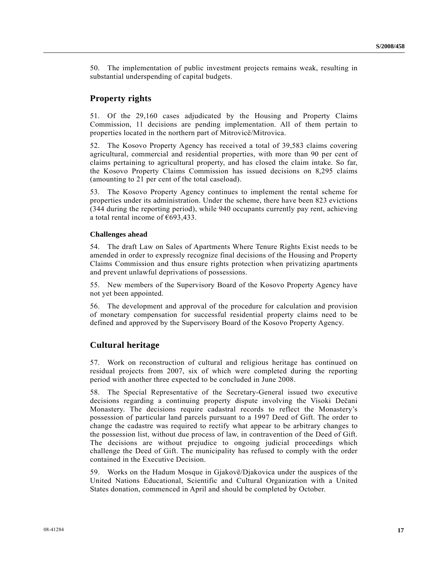50. The implementation of public investment projects remains weak, resulting in substantial underspending of capital budgets.

## **Property rights**

51. Of the 29,160 cases adjudicated by the Housing and Property Claims Commission, 11 decisions are pending implementation. All of them pertain to properties located in the northern part of Mitrovicë/Mitrovica.

52. The Kosovo Property Agency has received a total of 39,583 claims covering agricultural, commercial and residential properties, with more than 90 per cent of claims pertaining to agricultural property, and has closed the claim intake. So far, the Kosovo Property Claims Commission has issued decisions on 8,295 claims (amounting to 21 per cent of the total caseload).

53. The Kosovo Property Agency continues to implement the rental scheme for properties under its administration. Under the scheme, there have been 823 evictions (344 during the reporting period), while 940 occupants currently pay rent, achieving a total rental income of €693,433.

#### **Challenges ahead**

54. The draft Law on Sales of Apartments Where Tenure Rights Exist needs to be amended in order to expressly recognize final decisions of the Housing and Property Claims Commission and thus ensure rights protection when privatizing apartments and prevent unlawful deprivations of possessions.

55. New members of the Supervisory Board of the Kosovo Property Agency have not yet been appointed.

56. The development and approval of the procedure for calculation and provision of monetary compensation for successful residential property claims need to be defined and approved by the Supervisory Board of the Kosovo Property Agency.

## **Cultural heritage**

57. Work on reconstruction of cultural and religious heritage has continued on residual projects from 2007, six of which were completed during the reporting period with another three expected to be concluded in June 2008.

58. The Special Representative of the Secretary-General issued two executive decisions regarding a continuing property dispute involving the Visoki Dečani Monastery. The decisions require cadastral records to reflect the Monastery's possession of particular land parcels pursuant to a 1997 Deed of Gift. The order to change the cadastre was required to rectify what appear to be arbitrary changes to the possession list, without due process of law, in contravention of the Deed of Gift. The decisions are without prejudice to ongoing judicial proceedings which challenge the Deed of Gift. The municipality has refused to comply with the order contained in the Executive Decision.

59. Works on the Hadum Mosque in Gjakovë/Djakovica under the auspices of the United Nations Educational, Scientific and Cultural Organization with a United States donation, commenced in April and should be completed by October.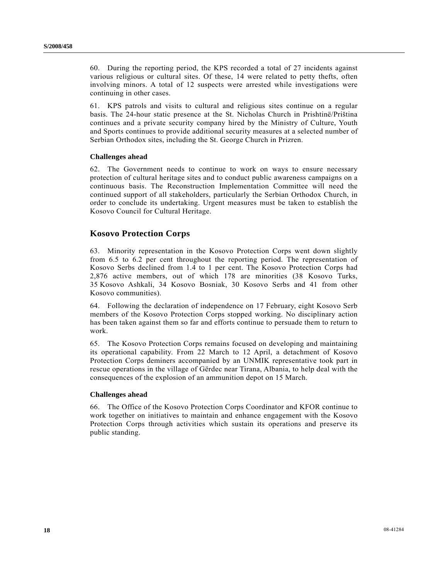60. During the reporting period, the KPS recorded a total of 27 incidents against various religious or cultural sites. Of these, 14 were related to petty thefts, often involving minors. A total of 12 suspects were arrested while investigations were continuing in other cases.

61. KPS patrols and visits to cultural and religious sites continue on a regular basis. The 24-hour static presence at the St. Nicholas Church in Prishtinë/Priština continues and a private security company hired by the Ministry of Culture, Youth and Sports continues to provide additional security measures at a selected number of Serbian Orthodox sites, including the St. George Church in Prizren.

### **Challenges ahead**

62. The Government needs to continue to work on ways to ensure necessary protection of cultural heritage sites and to conduct public awareness campaigns on a continuous basis. The Reconstruction Implementation Committee will need the continued support of all stakeholders, particularly the Serbian Orthodox Church, in order to conclude its undertaking. Urgent measures must be taken to establish the Kosovo Council for Cultural Heritage.

## **Kosovo Protection Corps**

63. Minority representation in the Kosovo Protection Corps went down slightly from 6.5 to 6.2 per cent throughout the reporting period. The representation of Kosovo Serbs declined from 1.4 to 1 per cent. The Kosovo Protection Corps had 2,876 active members, out of which 178 are minorities (38 Kosovo Turks, 35 Kosovo Ashkali, 34 Kosovo Bosniak, 30 Kosovo Serbs and 41 from other Kosovo communities).

64. Following the declaration of independence on 17 February, eight Kosovo Serb members of the Kosovo Protection Corps stopped working. No disciplinary action has been taken against them so far and efforts continue to persuade them to return to work.

65. The Kosovo Protection Corps remains focused on developing and maintaining its operational capability. From 22 March to 12 April, a detachment of Kosovo Protection Corps deminers accompanied by an UNMIK representative took part in rescue operations in the village of Gërdec near Tirana, Albania, to help deal with the consequences of the explosion of an ammunition depot on 15 March.

#### **Challenges ahead**

66. The Office of the Kosovo Protection Corps Coordinator and KFOR continue to work together on initiatives to maintain and enhance engagement with the Kosovo Protection Corps through activities which sustain its operations and preserve its public standing.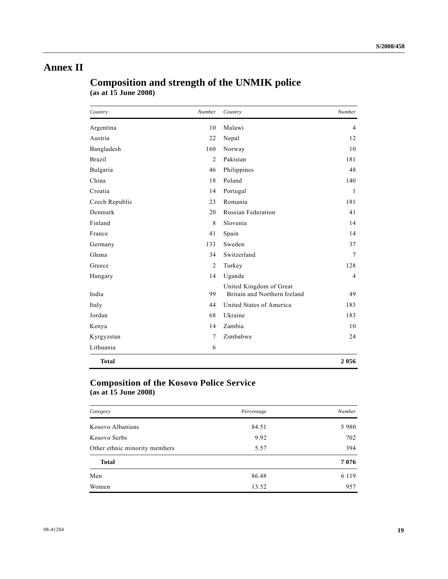# **Annex II**

# **Composition and strength of the UNMIK police (as at 15 June 2008)**

| Country        | Number         | Country                                                 | Number |
|----------------|----------------|---------------------------------------------------------|--------|
| Argentina      | 10             | Malawi                                                  | 4      |
| Austria        | 22             | Nepal                                                   | 12     |
| Bangladesh     | 160            | Norway                                                  | 10     |
| <b>Brazil</b>  | $\overline{2}$ | Pakistan                                                | 181    |
| Bulgaria       | 46             | Philippines                                             | 48     |
| China          | 18             | Poland                                                  | 140    |
| Croatia        | 14             | Portugal                                                | 1      |
| Czech Republic | 23             | Romania                                                 | 181    |
| Denmark        | 20             | <b>Russian Federation</b>                               | 41     |
| Finland        | 8              | Slovenia                                                | 14     |
| France         | 41             | Spain                                                   | 14     |
| Germany        | 133            | Sweden                                                  | 37     |
| Ghana          | 34             | Switzerland                                             | 7      |
| Greece         | $\overline{2}$ | Turkey                                                  | 128    |
| Hungary        | 14             | Uganda                                                  | 4      |
| India          | 99             | United Kingdom of Great<br>Britain and Northern Ireland | 49     |
| Italy          | 44             | United States of America                                | 183    |
| Jordan         | 68             | Ukraine                                                 | 183    |
| Kenya          | 14             | Zambia                                                  | 10     |
| Kyrgyzstan     | 7              | Zimbabwe                                                | 24     |
| Lithuania      | 6              |                                                         |        |
| <b>Total</b>   |                |                                                         | 2056   |

# **Composition of the Kosovo Police Service (as at 15 June 2008)**

| Category                      | Percentage | Number  |
|-------------------------------|------------|---------|
| Kosovo Albanians              | 84.51      | 5980    |
| Kosovo Serbs                  | 9.92       | 702     |
| Other ethnic minority members | 5.57       | 394     |
| <b>Total</b>                  |            | 7076    |
| Men                           | 86.48      | 6 1 1 9 |
| Women                         | 13.52      | 957     |